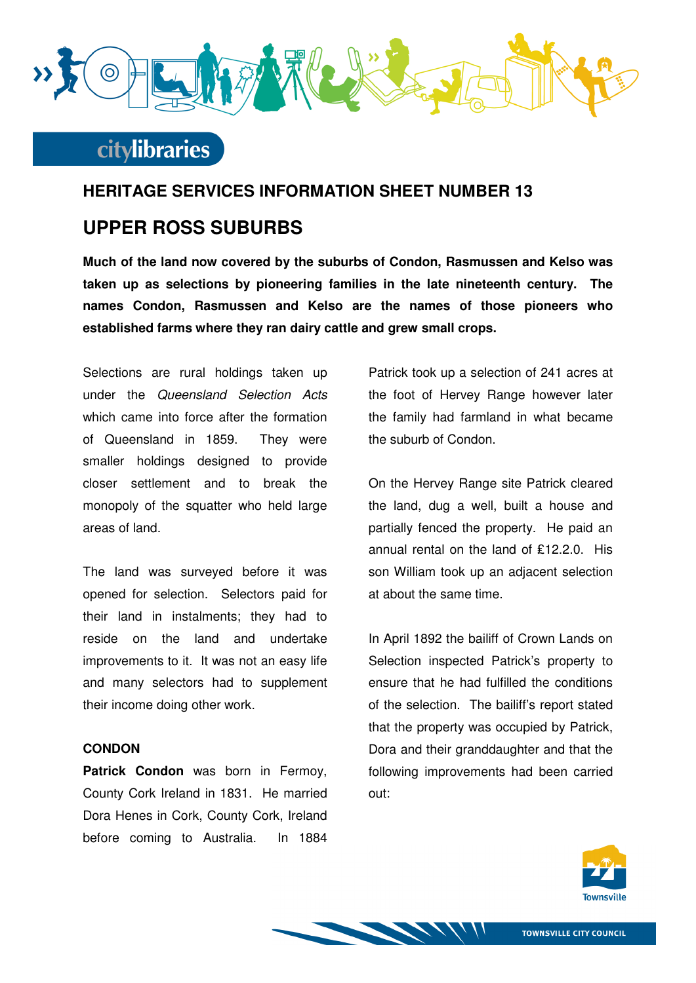

### **HERITAGE SERVICES INFORMATION SHEET NUMBER 13**

### **UPPER ROSS SUBURBS**

**Much of the land now covered by the suburbs of Condon, Rasmussen and Kelso was taken up as selections by pioneering families in the late nineteenth century. The names Condon, Rasmussen and Kelso are the names of those pioneers who established farms where they ran dairy cattle and grew small crops.** 

Selections are rural holdings taken up under the Queensland Selection Acts which came into force after the formation of Queensland in 1859. They were smaller holdings designed to provide closer settlement and to break the monopoly of the squatter who held large areas of land.

The land was surveyed before it was opened for selection. Selectors paid for their land in instalments; they had to reside on the land and undertake improvements to it. It was not an easy life and many selectors had to supplement their income doing other work.

#### **CONDON**

**Patrick Condon** was born in Fermoy, County Cork Ireland in 1831. He married Dora Henes in Cork, County Cork, Ireland before coming to Australia. In 1884

Patrick took up a selection of 241 acres at the foot of Hervey Range however later the family had farmland in what became the suburb of Condon.

On the Hervey Range site Patrick cleared the land, dug a well, built a house and partially fenced the property. He paid an annual rental on the land of ₤12.2.0. His son William took up an adjacent selection at about the same time.

In April 1892 the bailiff of Crown Lands on Selection inspected Patrick's property to ensure that he had fulfilled the conditions of the selection. The bailiff's report stated that the property was occupied by Patrick, Dora and their granddaughter and that the following improvements had been carried out:



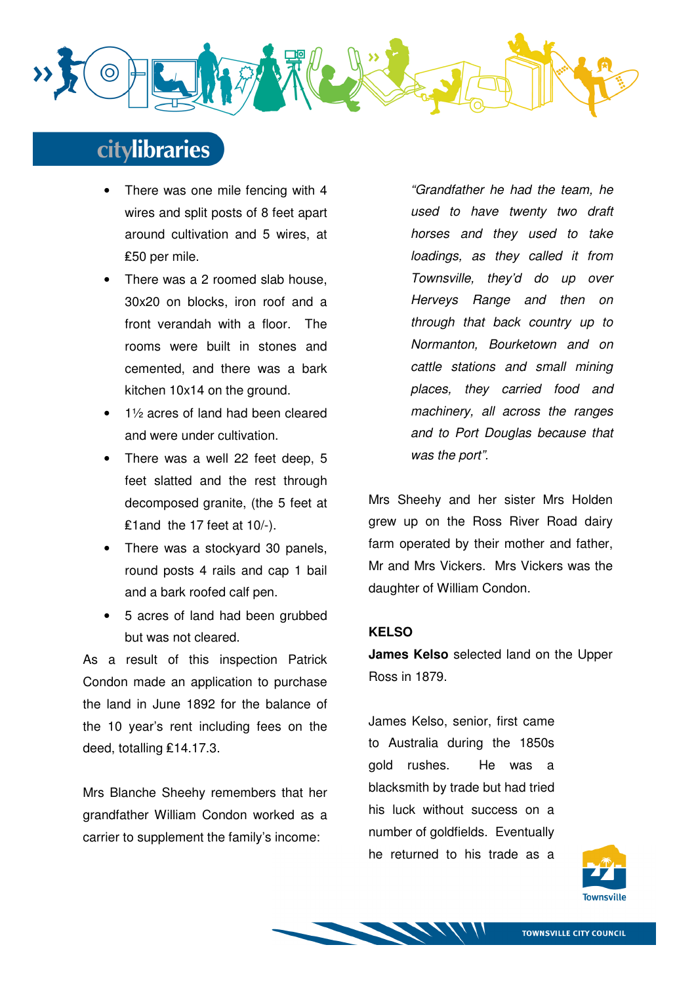

- There was one mile fencing with 4 wires and split posts of 8 feet apart around cultivation and 5 wires, at ₤50 per mile.
- There was a 2 roomed slab house. 30x20 on blocks, iron roof and a front verandah with a floor. The rooms were built in stones and cemented, and there was a bark kitchen 10x14 on the ground.
- 1½ acres of land had been cleared and were under cultivation.
- There was a well 22 feet deep, 5 feet slatted and the rest through decomposed granite, (the 5 feet at ₤1and the 17 feet at 10/-).
- There was a stockvard 30 panels. round posts 4 rails and cap 1 bail and a bark roofed calf pen.
- 5 acres of land had been grubbed but was not cleared.

As a result of this inspection Patrick Condon made an application to purchase the land in June 1892 for the balance of the 10 year's rent including fees on the deed, totalling ₤14.17.3.

Mrs Blanche Sheehy remembers that her grandfather William Condon worked as a carrier to supplement the family's income:

"Grandfather he had the team, he used to have twenty two draft horses and they used to take loadings, as they called it from Townsville, they'd do up over Herveys Range and then on through that back country up to Normanton, Bourketown and on cattle stations and small mining places, they carried food and machinery, all across the ranges and to Port Douglas because that was the port".

Mrs Sheehy and her sister Mrs Holden grew up on the Ross River Road dairy farm operated by their mother and father, Mr and Mrs Vickers. Mrs Vickers was the daughter of William Condon.

### **KELSO**

**James Kelso** selected land on the Upper Ross in 1879.

James Kelso, senior, first came to Australia during the 1850s gold rushes. He was a blacksmith by trade but had tried his luck without success on a number of goldfields. Eventually he returned to his trade as a

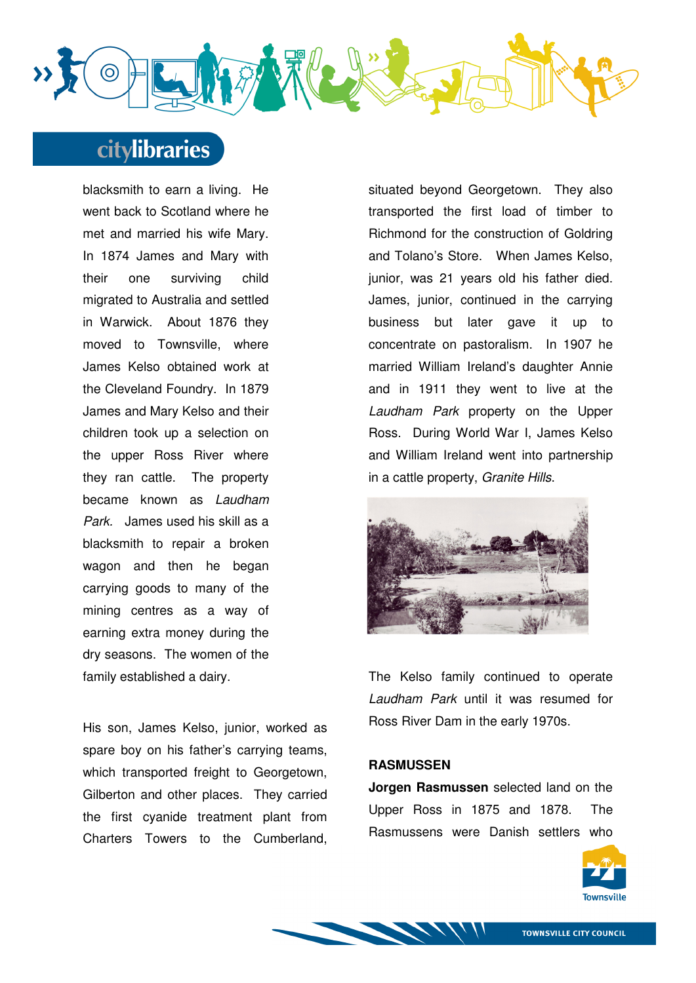

blacksmith to earn a living. He went back to Scotland where he met and married his wife Mary. In 1874 James and Mary with their one surviving child migrated to Australia and settled in Warwick. About 1876 they moved to Townsville, where James Kelso obtained work at the Cleveland Foundry. In 1879 James and Mary Kelso and their children took up a selection on the upper Ross River where they ran cattle. The property became known as Laudham Park. James used his skill as a blacksmith to repair a broken wagon and then he began carrying goods to many of the mining centres as a way of earning extra money during the dry seasons. The women of the family established a dairy.

His son, James Kelso, junior, worked as spare boy on his father's carrying teams, which transported freight to Georgetown, Gilberton and other places. They carried the first cyanide treatment plant from Charters Towers to the Cumberland,

situated beyond Georgetown. They also transported the first load of timber to Richmond for the construction of Goldring and Tolano's Store. When James Kelso, junior, was 21 years old his father died. James, junior, continued in the carrying business but later gave it up to concentrate on pastoralism. In 1907 he married William Ireland's daughter Annie and in 1911 they went to live at the Laudham Park property on the Upper Ross. During World War I, James Kelso and William Ireland went into partnership in a cattle property, Granite Hills.



The Kelso family continued to operate Laudham Park until it was resumed for Ross River Dam in the early 1970s.

#### **RASMUSSEN**

**Jorgen Rasmussen** selected land on the Upper Ross in 1875 and 1878. The Rasmussens were Danish settlers who